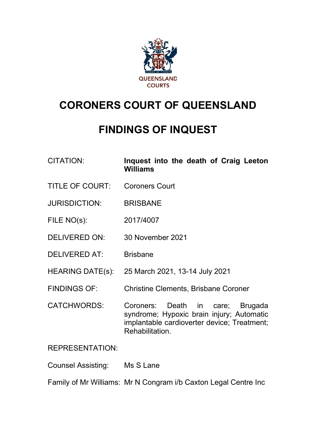

# **CORONERS COURT OF QUEENSLAND**

# **FINDINGS OF INQUEST**

| <b>CITATION:</b> | Inquest into the death of Craig Leeton |  |  |  |
|------------------|----------------------------------------|--|--|--|
|                  | Williams                               |  |  |  |

- TITLE OF COURT: Coroners Court
- JURISDICTION: BRISBANE
- FILE NO(s): 2017/4007
- DELIVERED ON: 30 November 2021
- DELIVERED AT: Brisbane
- HEARING DATE(s): 25 March 2021, 13-14 July 2021
- FINDINGS OF: Christine Clements, Brisbane Coroner
- CATCHWORDS: Coroners: Death in care; Brugada syndrome; Hypoxic brain injury; Automatic implantable cardioverter device; Treatment; Rehabilitation.

# REPRESENTATION:

Counsel Assisting: Ms S Lane

Family of Mr Williams: Mr N Congram i/b Caxton Legal Centre Inc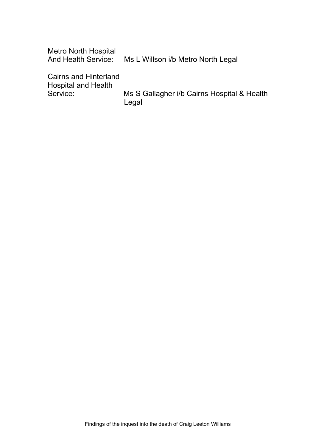| <b>Metro North Hospital</b><br><b>And Health Service:</b>  | Ms L Willson i/b Metro North Legal                   |
|------------------------------------------------------------|------------------------------------------------------|
| <b>Cairns and Hinterland</b><br><b>Hospital and Health</b> |                                                      |
| Service:                                                   | Ms S Gallagher i/b Cairns Hospital & Health<br>Legal |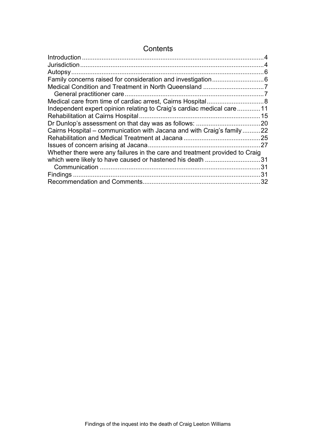| <b>Introduction</b>                                                         |      |
|-----------------------------------------------------------------------------|------|
|                                                                             | 4    |
|                                                                             |      |
|                                                                             |      |
|                                                                             |      |
|                                                                             |      |
|                                                                             |      |
| Independent expert opinion relating to Craig's cardiac medical care  11     |      |
|                                                                             |      |
| Dr Dunlop's assessment on that day was as follows:                          |      |
| Cairns Hospital – communication with Jacana and with Craig's family22       |      |
|                                                                             | . 25 |
|                                                                             | 27   |
| Whether there were any failures in the care and treatment provided to Craig |      |
|                                                                             | 31   |
|                                                                             | 31   |
|                                                                             | 31   |
|                                                                             | 32   |

# **Contents**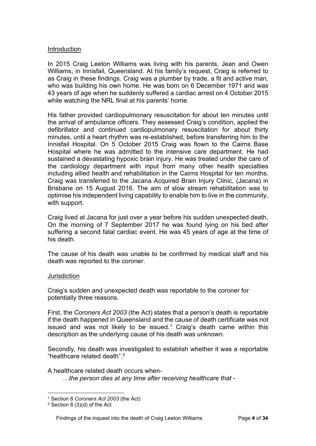# <span id="page-3-0"></span>Introduction

In 2015 Craig Leeton Williams was living with his parents, Jean and Owen Williams, in Innisfail, Queensland. At his family's request, Craig is referred to as Craig in these findings. Craig was a plumber by trade, a fit and active man, who was building his own home. He was born on 6 December 1971 and was 43 years of age when he suddenly suffered a cardiac arrest on 4 October 2015 while watching the NRL final at his parents' home.

His father provided cardiopulmonary resuscitation for about ten minutes until the arrival of ambulance officers. They assessed Craig's condition, applied the defibrillator and continued cardiopulmonary resuscitation for about thirty minutes, until a heart rhythm was re-established, before transferring him to the Innisfail Hospital. On 5 October 2015 Craig was flown to the Cairns Base Hospital where he was admitted to the intensive care department. He had sustained a devastating hypoxic brain injury. He was treated under the care of the cardiology department with input from many other health specialties including allied health and rehabilitation in the Cairns Hospital for ten months. Craig was transferred to the Jacana Acquired Brain Injury Clinic, (Jacana) in Brisbane on 15 August 2016. The aim of slow stream rehabilitation was to optimise his independent living capability to enable him to live in the community, with support.

Craig lived at Jacana for just over a year before his sudden unexpected death. On the morning of 7 September 2017 he was found lying on his bed after suffering a second fatal cardiac event. He was 45 years of age at the time of his death.

The cause of his death was unable to be confirmed by medical staff and his death was reported to the coroner.

## <span id="page-3-1"></span>**Jurisdiction**

Craig's sudden and unexpected death was reportable to the coroner for potentially three reasons.

First, the *Coroners Act 2003* (the Act) states that a person's death is reportable if the death happened in Queensland and the cause of death certificate was not issued and was not likely to be issued.<sup>[1](#page-3-2)</sup> Craig's death came within this description as the underlying cause of his death was unknown.

Secondly, his death was investigated to establish whether it was a reportable "healthcare related death".[2](#page-3-3)

A healthcare related death occurs when- *…the person dies at any time after receiving healthcare that -*

<span id="page-3-2"></span><sup>1</sup> Section 8 *Coroners Act 2003* (the Act)

<span id="page-3-3"></span><sup>2</sup> Section 8 (3)(d) of the Act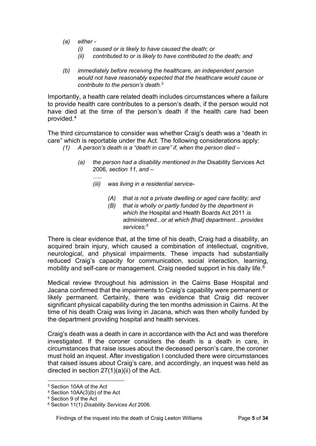*(a) either -*

*…..*

- *(i) caused or is likely to have caused the death; or*
- *(ii) contributed to or is likely to have contributed to the death; and*
- *(b) immediately before receiving the healthcare, an independent person would not have reasonably expected that the healthcare would cause or contribute to the person's death.*[3](#page-4-0)

Importantly, a health care related death includes circumstances where a failure to provide health care contributes to a person's death, if the person would not have died at the time of the person's death if the health care had been provided.[4](#page-4-1)

The third circumstance to consider was whether Craig's death was a "death in care" which is reportable under the Act. The following considerations apply:

- *(1) A person's death is a "death in care" if, when the person died –*
	- *(a) the person had a disability mentioned in the* Disability Services Act 2006*, section 11, and –*
		- *(iii) was living in a residential service-*
			- *(A) that is not a private dwelling or aged care facility; and*
			- *(B) that is wholly or partly funded by the department in which the* Hospital and Health Boards Act 2011 *is administered...or at which [that] department…provides services;[5](#page-4-2)*

There is clear evidence that, at the time of his death, Craig had a disability, an acquired brain injury, which caused a combination of intellectual, cognitive, neurological, and physical impairments. These impacts had substantially reduced Craig's capacity for communication, social interaction, learning, mobility and self-care or management. Craig needed support in his daily life. $^6$  $^6$ 

Medical review throughout his admission in the Cairns Base Hospital and Jacana confirmed that the impairments to Craig's capability were permanent or likely permanent. Certainly, there was evidence that Craig did recover significant physical capability during the ten months admission in Cairns. At the time of his death Craig was living in Jacana, which was then wholly funded by the department providing hospital and health services.

Craig's death was a death in care in accordance with the Act and was therefore investigated. If the coroner considers the death is a death in care, in circumstances that raise issues about the deceased person's care, the coroner must hold an inquest. After investigation I concluded there were circumstances that raised issues about Craig's care, and accordingly, an inquest was held as directed in section 27(1)(a)(ii) of the Act.

<span id="page-4-0"></span><sup>3</sup> Section 10AA of the Act

<span id="page-4-1"></span><sup>4</sup> Section 10AA(3)(b) of the Act

<span id="page-4-2"></span><sup>5</sup> Section 9 of the Act

<span id="page-4-3"></span><sup>6</sup> Section 11(1) *Disability Services Act* 2006.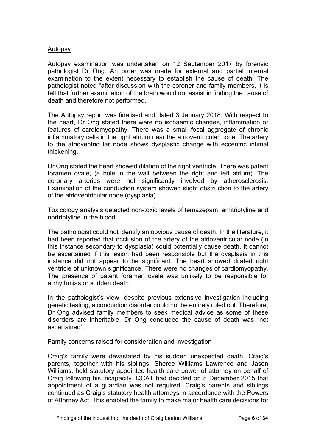# <span id="page-5-0"></span>Autopsy

Autopsy examination was undertaken on 12 September 2017 by forensic pathologist Dr Ong. An order was made for external and partial internal examination to the extent necessary to establish the cause of death. The pathologist noted "after discussion with the coroner and family members, it is felt that further examination of the brain would not assist in finding the cause of death and therefore not performed."

The Autopsy report was finalised and dated 3 January 2018. With respect to the heart, Dr Ong stated there were no ischaemic changes, inflammation or features of cardiomyopathy. There was a small focal aggregate of chronic inflammatory cells in the right atrium near the atrioventricular node. The artery to the atrioventricular node shows dysplastic change with eccentric intimal thickening.

Dr Ong stated the heart showed dilation of the right ventricle. There was patent foramen ovale, (a hole in the wall between the right and left atrium). The coronary arteries were not significantly involved by atherosclerosis. Examination of the conduction system showed slight obstruction to the artery of the atrioventricular node (dysplasia).

Toxicology analysis detected non-toxic levels of temazepam, amitriptyline and nortriptyline in the blood.

The pathologist could not identify an obvious cause of death. In the literature, it had been reported that occlusion of the artery of the atrioventricular node (in this instance secondary to dysplasia) could potentially cause death. It cannot be ascertained if this lesion had been responsible but the dysplasia in this instance did not appear to be significant. The heart showed dilated right ventricle of unknown significance. There were no changes of cardiomyopathy. The presence of patent foramen ovale was unlikely to be responsible for arrhythmias or sudden death.

In the pathologist's view, despite previous extensive investigation including genetic testing, a conduction disorder could not be entirely ruled out. Therefore, Dr Ong advised family members to seek medical advice as some of these disorders are inheritable. Dr Ong concluded the cause of death was "not ascertained".

## <span id="page-5-1"></span>Family concerns raised for consideration and investigation

Craig's family were devastated by his sudden unexpected death. Craig's parents, together with his siblings, Sheree Williams Lawrence and Jason Williams, held statutory appointed health care power of attorney on behalf of Craig following his incapacity. QCAT had decided on 8 December 2015 that appointment of a guardian was not required. Craig's parents and siblings continued as Craig's statutory health attorneys in accordance with the Powers of Attorney Act. This enabled the family to make major health care decisions for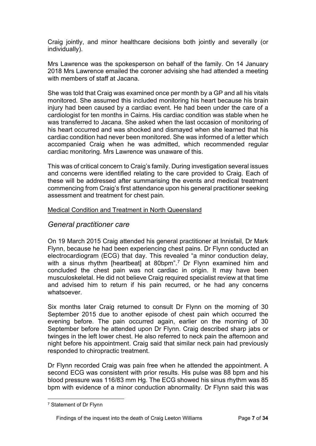Craig jointly, and minor healthcare decisions both jointly and severally (or individually).

Mrs Lawrence was the spokesperson on behalf of the family. On 14 January 2018 Mrs Lawrence emailed the coroner advising she had attended a meeting with members of staff at Jacana.

She was told that Craig was examined once per month by a GP and all his vitals monitored*.* She assumed this included monitoring his heart because his brain injury had been caused by a cardiac event. He had been under the care of a cardiologist for ten months in Cairns. His cardiac condition was stable when he was transferred to Jacana. She asked when the last occasion of monitoring of his heart occurred and was shocked and dismayed when she learned that his cardiac condition had never been monitored. She was informed of a letter which accompanied Craig when he was admitted, which recommended regular cardiac monitoring. Mrs Lawrence was unaware of this.

This was of critical concern to Craig's family. During investigation several issues and concerns were identified relating to the care provided to Craig. Each of these will be addressed after summarising the events and medical treatment commencing from Craig's first attendance upon his general practitioner seeking assessment and treatment for chest pain.

# <span id="page-6-1"></span><span id="page-6-0"></span>Medical Condition and Treatment in North Queensland

# *General practitioner care*

On 19 March 2015 Craig attended his general practitioner at Innisfail, Dr Mark Flynn, because he had been experiencing chest pains. Dr Flynn conducted an electrocardiogram (ECG) that day. This revealed "a minor conduction delay, with a sinus rhythm [heartbeat] at 80bpm". [7](#page-6-2) Dr Flynn examined him and concluded the chest pain was not cardiac in origin. It may have been musculoskeletal. He did not believe Craig required specialist review at that time and advised him to return if his pain recurred, or he had any concerns whatsoever.

Six months later Craig returned to consult Dr Flynn on the morning of 30 September 2015 due to another episode of chest pain which occurred the evening before. The pain occurred again, earlier on the morning of 30 September before he attended upon Dr Flynn. Craig described sharp jabs or twinges in the left lower chest. He also referred to neck pain the afternoon and night before his appointment. Craig said that similar neck pain had previously responded to chiropractic treatment.

Dr Flynn recorded Craig was pain free when he attended the appointment. A second ECG was consistent with prior results. His pulse was 88 bpm and his blood pressure was 116/83 mm Hg. The ECG showed his sinus rhythm was 85 bpm with evidence of a minor conduction abnormality. Dr Flynn said this was

<span id="page-6-2"></span><sup>7</sup> Statement of Dr Flynn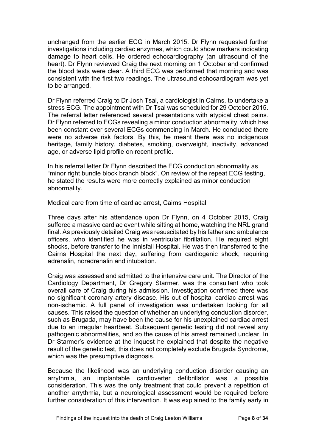unchanged from the earlier ECG in March 2015. Dr Flynn requested further investigations including cardiac enzymes, which could show markers indicating damage to heart cells. He ordered echocardiography (an ultrasound of the heart). Dr Flynn reviewed Craig the next morning on 1 October and confirmed the blood tests were clear. A third ECG was performed that morning and was consistent with the first two readings. The ultrasound echocardiogram was yet to be arranged.

Dr Flynn referred Craig to Dr Josh Tsai, a cardiologist in Cairns, to undertake a stress ECG. The appointment with Dr Tsai was scheduled for 29 October 2015. The referral letter referenced several presentations with atypical chest pains. Dr Flynn referred to ECGs revealing a minor conduction abnormality, which has been constant over several ECGs commencing in March. He concluded there were no adverse risk factors. By this, he meant there was no indigenous heritage, family history, diabetes, smoking, overweight, inactivity, advanced age, or adverse lipid profile on recent profile.

In his referral letter Dr Flynn described the ECG conduction abnormality as "minor right bundle block branch block". On review of the repeat ECG testing, he stated the results were more correctly explained as minor conduction abnormality.

# <span id="page-7-0"></span>Medical care from time of cardiac arrest, Cairns Hospital

Three days after his attendance upon Dr Flynn, on 4 October 2015, Craig suffered a massive cardiac event while sitting at home, watching the NRL grand final. As previously detailed Craig was resuscitated by his father and ambulance officers, who identified he was in ventricular fibrillation. He required eight shocks, before transfer to the Innisfail Hospital. He was then transferred to the Cairns Hospital the next day, suffering from cardiogenic shock, requiring adrenalin, noradrenalin and intubation.

Craig was assessed and admitted to the intensive care unit. The Director of the Cardiology Department, Dr Gregory Starmer, was the consultant who took overall care of Craig during his admission. Investigation confirmed there was no significant coronary artery disease. His out of hospital cardiac arrest was non-ischemic. A full panel of investigation was undertaken looking for all causes. This raised the question of whether an underlying conduction disorder, such as Brugada, may have been the cause for his unexplained cardiac arrest due to an irregular heartbeat. Subsequent genetic testing did not reveal any pathogenic abnormalities, and so the cause of his arrest remained unclear. In Dr Starmer's evidence at the inquest he explained that despite the negative result of the genetic test, this does not completely exclude Brugada Syndrome, which was the presumptive diagnosis.

Because the likelihood was an underlying conduction disorder causing an arrythmia, an implantable cardioverter defibrillator was a possible consideration. This was the only treatment that could prevent a repetition of another arrythmia, but a neurological assessment would be required before further consideration of this intervention. It was explained to the family early in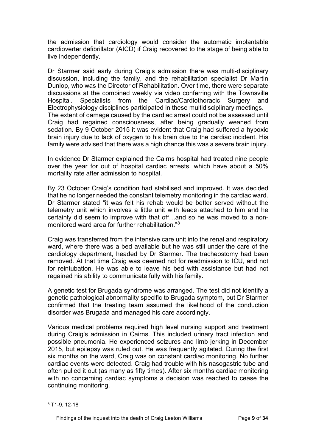the admission that cardiology would consider the automatic implantable cardioverter defibrillator (AICD) if Craig recovered to the stage of being able to live independently.

Dr Starmer said early during Craig's admission there was multi-disciplinary discussion, including the family, and the rehabilitation specialist Dr Martin Dunlop, who was the Director of Rehabilitation. Over time, there were separate discussions at the combined weekly via video conferring with the Townsville Hospital. Specialists from the Cardiac/Cardiothoracic Surgery and Electrophysiology disciplines participated in these multidisciplinary meetings. The extent of damage caused by the cardiac arrest could not be assessed until Craig had regained consciousness, after being gradually weaned from sedation. By 9 October 2015 it was evident that Craig had suffered a hypoxic brain injury due to lack of oxygen to his brain due to the cardiac incident. His family were advised that there was a high chance this was a severe brain injury.

In evidence Dr Starmer explained the Cairns hospital had treated nine people over the year for out of hospital cardiac arrests, which have about a 50% mortality rate after admission to hospital.

By 23 October Craig's condition had stabilised and improved. It was decided that he no longer needed the constant telemetry monitoring in the cardiac ward. Dr Starmer stated "it was felt his rehab would be better served without the telemetry unit which involves a little unit with leads attached to him and he certainly did seem to improve with that off…and so he was moved to a non-monitored ward area for further rehabilitation "[8](#page-8-0)"

Craig was transferred from the intensive care unit into the renal and respiratory ward, where there was a bed available but he was still under the care of the cardiology department, headed by Dr Starmer. The tracheostomy had been removed. At that time Craig was deemed not for readmission to ICU, and not for reintubation. He was able to leave his bed with assistance but had not regained his ability to communicate fully with his family.

A genetic test for Brugada syndrome was arranged. The test did not identify a genetic pathological abnormality specific to Brugada symptom, but Dr Starmer confirmed that the treating team assumed the likelihood of the conduction disorder was Brugada and managed his care accordingly.

Various medical problems required high level nursing support and treatment during Craig's admission in Cairns. This included urinary tract infection and possible pneumonia. He experienced seizures and limb jerking in December 2015, but epilepsy was ruled out. He was frequently agitated. During the first six months on the ward, Craig was on constant cardiac monitoring. No further cardiac events were detected. Craig had trouble with his nasogastric tube and often pulled it out (as many as fifty times). After six months cardiac monitoring with no concerning cardiac symptoms a decision was reached to cease the continuing monitoring.

<span id="page-8-0"></span><sup>8</sup> T1-9, 12-18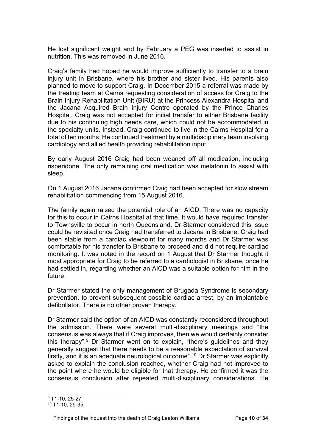He lost significant weight and by February a PEG was inserted to assist in nutrition. This was removed in June 2016.

Craig's family had hoped he would improve sufficiently to transfer to a brain injury unit in Brisbane, where his brother and sister lived. His parents also planned to move to support Craig. In December 2015 a referral was made by the treating team at Cairns requesting consideration of access for Craig to the Brain Injury Rehabilitation Unit (BIRU) at the Princess Alexandra Hospital and the Jacana Acquired Brain Injury Centre operated by the Prince Charles Hospital. Craig was not accepted for initial transfer to either Brisbane facility due to his continuing high needs care, which could not be accommodated in the specialty units. Instead, Craig continued to live in the Cairns Hospital for a total of ten months. He continued treatment by a multidisciplinary team involving cardiology and allied health providing rehabilitation input.

By early August 2016 Craig had been weaned off all medication, including risperidone. The only remaining oral medication was melatonin to assist with sleep.

On 1 August 2016 Jacana confirmed Craig had been accepted for slow stream rehabilitation commencing from 15 August 2016.

The family again raised the potential role of an AICD. There was no capacity for this to occur in Cairns Hospital at that time. It would have required transfer to Townsville to occur in north Queensland. Dr Starmer considered this issue could be revisited once Craig had transferred to Jacana in Brisbane. Craig had been stable from a cardiac viewpoint for many months and Dr Starmer was comfortable for his transfer to Brisbane to proceed and did not require cardiac monitoring. It was noted in the record on 1 August that Dr Starmer thought it most appropriate for Craig to be referred to a cardiologist in Brisbane, once he had settled in, regarding whether an AICD was a suitable option for him in the future.

Dr Starmer stated the only management of Brugada Syndrome is secondary prevention, to prevent subsequent possible cardiac arrest, by an implantable defibrillator. There is no other proven therapy.

Dr Starmer said the option of an AICD was constantly reconsidered throughout the admission. There were several multi-disciplinary meetings and "the consensus was always that if Craig improves, then we would certainly consider this therapy". [9](#page-9-0) Dr Starmer went on to explain, "there's guidelines and they generally suggest that there needs to be a reasonable expectation of survival firstly, and it is an adequate neurological outcome". [10](#page-9-1) Dr Starmer was explicitly asked to explain the conclusion reached, whether Craig had not improved to the point where he would be eligible for that therapy. He confirmed it was the consensus conclusion after repeated multi-disciplinary considerations. He

<span id="page-9-0"></span><sup>9</sup> T1-10, 25-27

<span id="page-9-1"></span><sup>10</sup> T1-10, 29-35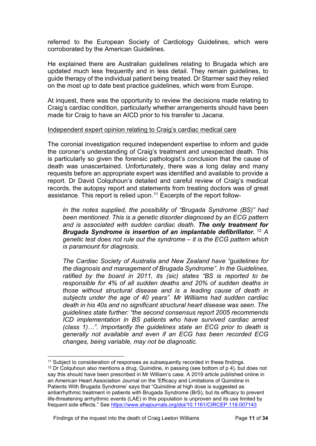referred to the European Society of Cardiology Guidelines, which were corroborated by the American Guidelines.

He explained there are Australian guidelines relating to Brugada which are updated much less frequently and in less detail. They remain guidelines, to guide therapy of the individual patient being treated. Dr Starmer said they relied on the most up to date best practice guidelines, which were from Europe.

At inquest, there was the opportunity to review the decisions made relating to Craig's cardiac condition, particularly whether arrangements should have been made for Craig to have an AICD prior to his transfer to Jacana.

## <span id="page-10-0"></span>Independent expert opinion relating to Craig's cardiac medical care

The coronial investigation required independent expertise to inform and guide the coroner's understanding of Craig's treatment and unexpected death. This is particularly so given the forensic pathologist's conclusion that the cause of death was unascertained. Unfortunately, there was a long delay and many requests before an appropriate expert was identified and available to provide a report. Dr David Colquhoun's detailed and careful review of Craig's medical records, the autopsy report and statements from treating doctors was of great assistance. This report is relied upon.<sup>[11](#page-10-1)</sup> Excerpts of the report follow-

*In the notes supplied, the possibility of "Brugada Syndrome (BS)" had been mentioned. This is a genetic disorder diagnosed by an ECG pattern and is associated with sudden cardiac death. The only treatment for Brugada Syndrome is insertion of an implantable defibrillator.* [12](#page-10-2) *A genetic test does not rule out the syndrome – it is the ECG pattern which is paramount for diagnosis.*

*The Cardiac Society of Australia and New Zealand have "guidelines for the diagnosis and management of Brugada Syndrome". In the Guidelines, ratified by the board in 2011, its (sic) states "BS is reported to be responsible for 4% of all sudden deaths and 20% of sudden deaths in those without structural disease and is a leading cause of death in subjects under the age of 40 years". Mr Williams had sudden cardiac death in his 40s and no significant structural heart disease was seen. The guidelines state further: "the second consensus report 2005 recommends ICD implementation in BS patients who have survived cardiac arrest (class 1)…". Importantly the guidelines state an ECG prior to death is generally not available and even if an ECG has been recorded ECG changes, being variable, may not be diagnostic.*

<span id="page-10-2"></span><span id="page-10-1"></span><sup>&</sup>lt;sup>11</sup> Subject to consideration of responses as subsequently recorded in these findings.  $12$  Dr Colquhoun also mentions a drug, Quinidine, in passing (see bottom of p 4), but does not say this should have been prescribed in Mr William's case. A 2019 article published online in an American Heart Association Journal on the 'Efficacy and Limitations of Quinidine in Patients With Brugada Syndrome' says that "Quinidine at high dose is suggested as antiarrhythmic treatment in patients with Brugada Syndrome (BrS), but its efficacy to prevent life-threatening arrhythmic events (LAE) in this population is unproven and its use limited by frequent side effects." See<https://www.ahajournals.org/doi/10.1161/CIRCEP.118.007143>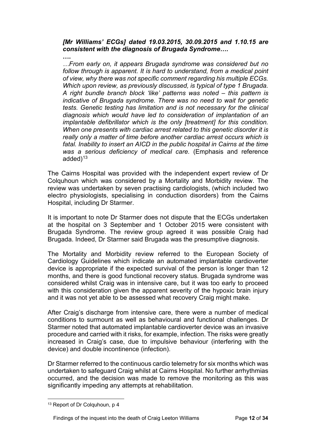# *[Mr Williams' ECGs] dated 19.03.2015, 30.09.2015 and 1.10.15 are consistent with the diagnosis of Brugada Syndrome….*

**….**

*…From early on, it appears Brugada syndrome was considered but no follow through is apparent. It is hard to understand, from a medical point of view, why there was not specific comment regarding his multiple ECGs. Which upon review, as previously discussed, is typical of type 1 Brugada. A right bundle branch block 'like' patterns was noted – this pattern is indicative of Brugada syndrome. There was no need to wait for genetic tests. Genetic testing has limitation and is not necessary for the clinical diagnosis which would have led to consideration of implantation of an implantable defibrillator which is the only [treatment] for this condition. When one presents with cardiac arrest related to this genetic disorder it is really only a matter of time before another cardiac arrest occurs which is fatal. Inability to insert an AICD in the public hospital in Cairns at the time was a serious deficiency of medical care.* (Emphasis and reference added $13<sup>13</sup>$  $13<sup>13</sup>$ 

The Cairns Hospital was provided with the independent expert review of Dr Colquhoun which was considered by a Mortality and Morbidity review. The review was undertaken by seven practising cardiologists, (which included two electro physiologists, specialising in conduction disorders) from the Cairns Hospital, including Dr Starmer.

It is important to note Dr Starmer does not dispute that the ECGs undertaken at the hospital on 3 September and 1 October 2015 were consistent with Brugada Syndrome. The review group agreed it was possible Craig had Brugada. Indeed, Dr Starmer said Brugada was the presumptive diagnosis.

The Mortality and Morbidity review referred to the European Society of Cardiology Guidelines which indicate an automated implantable cardioverter device is appropriate if the expected survival of the person is longer than 12 months, and there is good functional recovery status. Brugada syndrome was considered whilst Craig was in intensive care, but it was too early to proceed with this consideration given the apparent severity of the hypoxic brain injury and it was not yet able to be assessed what recovery Craig might make.

After Craig's discharge from intensive care, there were a number of medical conditions to surmount as well as behavioural and functional challenges. Dr Starmer noted that automated implantable cardioverter device was an invasive procedure and carried with it risks, for example, infection. The risks were greatly increased in Craig's case, due to impulsive behaviour (interfering with the device) and double incontinence (infection).

Dr Starmer referred to the continuous cardio telemetry for six months which was undertaken to safeguard Craig whilst at Cairns Hospital. No further arrhythmias occurred, and the decision was made to remove the monitoring as this was significantly impeding any attempts at rehabilitation.

<span id="page-11-0"></span><sup>&</sup>lt;sup>13</sup> Report of Dr Colquhoun, p 4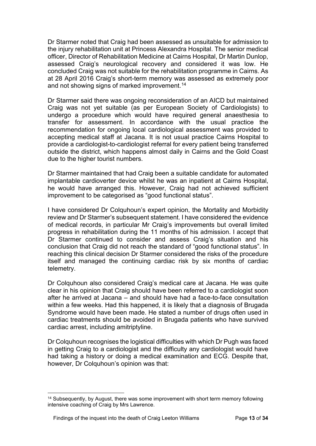Dr Starmer noted that Craig had been assessed as unsuitable for admission to the injury rehabilitation unit at Princess Alexandra Hospital. The senior medical officer, Director of Rehabilitation Medicine at Cairns Hospital, Dr Martin Dunlop, assessed Craig's neurological recovery and considered it was low. He concluded Craig was not suitable for the rehabilitation programme in Cairns. As at 28 April 2016 Craig's short-term memory was assessed as extremely poor and not showing signs of marked improvement.<sup>[14](#page-12-0)</sup>

Dr Starmer said there was ongoing reconsideration of an AICD but maintained Craig was not yet suitable (as per European Society of Cardiologists) to undergo a procedure which would have required general anaesthesia to transfer for assessment. In accordance with the usual practice the recommendation for ongoing local cardiological assessment was provided to accepting medical staff at Jacana. It is not usual practice Cairns Hospital to provide a cardiologist-to-cardiologist referral for every patient being transferred outside the district, which happens almost daily in Cairns and the Gold Coast due to the higher tourist numbers.

Dr Starmer maintained that had Craig been a suitable candidate for automated implantable cardioverter device whilst he was an inpatient at Cairns Hospital, he would have arranged this. However, Craig had not achieved sufficient improvement to be categorised as "good functional status".

I have considered Dr Colquhoun's expert opinion, the Mortality and Morbidity review and Dr Starmer's subsequent statement. I have considered the evidence of medical records, in particular Mr Craig's improvements but overall limited progress in rehabilitation during the 11 months of his admission. I accept that Dr Starmer continued to consider and assess Craig's situation and his conclusion that Craig did not reach the standard of "good functional status". In reaching this clinical decision Dr Starmer considered the risks of the procedure itself and managed the continuing cardiac risk by six months of cardiac telemetry.

Dr Colquhoun also considered Craig's medical care at Jacana. He was quite clear in his opinion that Craig should have been referred to a cardiologist soon after he arrived at Jacana – and should have had a face-to-face consultation within a few weeks. Had this happened, it is likely that a diagnosis of Brugada Syndrome would have been made. He stated a number of drugs often used in cardiac treatments should be avoided in Brugada patients who have survived cardiac arrest, including amitriptyline.

Dr Colquhoun recognises the logistical difficulties with which Dr Pugh was faced in getting Craig to a cardiologist and the difficulty any cardiologist would have had taking a history or doing a medical examination and ECG. Despite that, however, Dr Colquhoun's opinion was that:

<span id="page-12-0"></span><sup>&</sup>lt;sup>14</sup> Subsequently, by August, there was some improvement with short term memory following intensive coaching of Craig by Mrs Lawrence.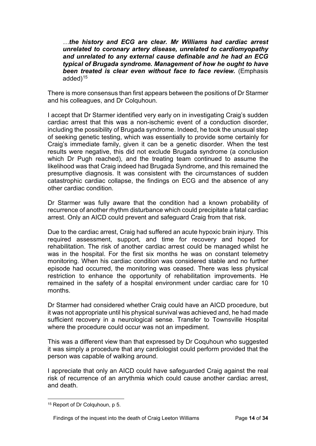*…the history and ECG are clear. Mr Williams had cardiac arrest unrelated to coronary artery disease, unrelated to cardiomyopathy and unrelated to any external cause definable and he had an ECG typical of Brugada syndrome. Management of how he ought to have been treated is clear even without face to face review.* (Emphasis added)<sup>[15](#page-13-0)</sup>

There is more consensus than first appears between the positions of Dr Starmer and his colleagues, and Dr Colquhoun.

I accept that Dr Starmer identified very early on in investigating Craig's sudden cardiac arrest that this was a non-ischemic event of a conduction disorder, including the possibility of Brugada syndrome. Indeed, he took the unusual step of seeking genetic testing, which was essentially to provide some certainly for Craig's immediate family, given it can be a genetic disorder. When the test results were negative, this did not exclude Brugada syndrome (a conclusion which Dr Pugh reached), and the treating team continued to assume the likelihood was that Craig indeed had Brugada Syndrome, and this remained the presumptive diagnosis. It was consistent with the circumstances of sudden catastrophic cardiac collapse, the findings on ECG and the absence of any other cardiac condition.

Dr Starmer was fully aware that the condition had a known probability of recurrence of another rhythm disturbance which could precipitate a fatal cardiac arrest. Only an AICD could prevent and safeguard Craig from that risk.

Due to the cardiac arrest, Craig had suffered an acute hypoxic brain injury. This required assessment, support, and time for recovery and hoped for rehabilitation. The risk of another cardiac arrest could be managed whilst he was in the hospital. For the first six months he was on constant telemetry monitoring. When his cardiac condition was considered stable and no further episode had occurred, the monitoring was ceased. There was less physical restriction to enhance the opportunity of rehabilitation improvements. He remained in the safety of a hospital environment under cardiac care for 10 months.

Dr Starmer had considered whether Craig could have an AICD procedure, but it was not appropriate until his physical survival was achieved and, he had made sufficient recovery in a neurological sense. Transfer to Townsville Hospital where the procedure could occur was not an impediment.

This was a different view than that expressed by Dr Coquhoun who suggested it was simply a procedure that any cardiologist could perform provided that the person was capable of walking around.

I appreciate that only an AICD could have safeguarded Craig against the real risk of recurrence of an arrythmia which could cause another cardiac arrest, and death.

<span id="page-13-0"></span><sup>15</sup> Report of Dr Colquhoun, p 5.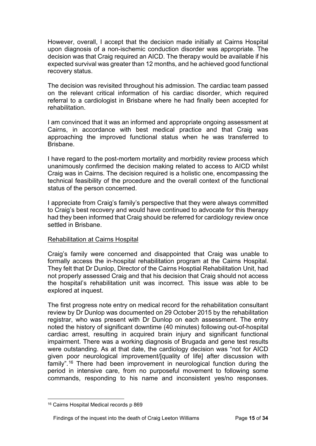However, overall, I accept that the decision made initially at Cairns Hospital upon diagnosis of a non-ischemic conduction disorder was appropriate. The decision was that Craig required an AICD. The therapy would be available if his expected survival was greater than 12 months, and he achieved good functional recovery status.

The decision was revisited throughout his admission. The cardiac team passed on the relevant critical information of his cardiac disorder, which required referral to a cardiologist in Brisbane where he had finally been accepted for rehabilitation.

I am convinced that it was an informed and appropriate ongoing assessment at Cairns, in accordance with best medical practice and that Craig was approaching the improved functional status when he was transferred to Brisbane.

I have regard to the post-mortem mortality and morbidity review process which unanimously confirmed the decision making related to access to AICD whilst Craig was in Cairns. The decision required is a holistic one, encompassing the technical feasibility of the procedure and the overall context of the functional status of the person concerned.

I appreciate from Craig's family's perspective that they were always committed to Craig's best recovery and would have continued to advocate for this therapy had they been informed that Craig should be referred for cardiology review once settled in Brisbane.

# <span id="page-14-0"></span>Rehabilitation at Cairns Hospital

Craig's family were concerned and disappointed that Craig was unable to formally access the in-hospital rehabilitation program at the Cairns Hospital. They felt that Dr Dunlop, Director of the Cairns Hosptial Rehabilitation Unit, had not properly assessed Craig and that his decision that Craig should not access the hospital's rehabilitation unit was incorrect. This issue was able to be explored at inquest.

The first progress note entry on medical record for the rehabilitation consultant review by Dr Dunlop was documented on 29 October 2015 by the rehabilitation registrar, who was present with Dr Dunlop on each assessment. The entry noted the history of significant downtime (40 minutes) following out-of-hospital cardiac arrest, resulting in acquired brain injury and significant functional impairment. There was a working diagnosis of Brugada and gene test results were outstanding. As at that date, the cardiology decision was "not for AICD given poor neurological improvement/[quality of life] after discussion with family".[16](#page-14-1) There had been improvement in neurological function during the period in intensive care, from no purposeful movement to following some commands, responding to his name and inconsistent yes/no responses.

<span id="page-14-1"></span><sup>16</sup> Cairns Hospital Medical records p 869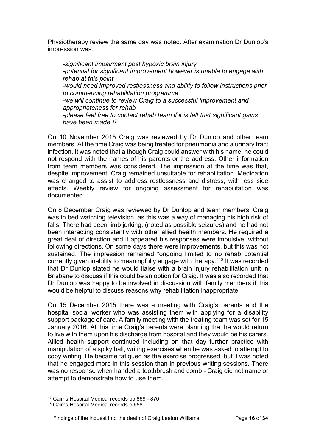Physiotherapy review the same day was noted. After examination Dr Dunlop's impression was:

*-significant impairment post hypoxic brain injury -potential for significant improvement however is unable to engage with rehab at this point -would need improved restlessness and ability to follow instructions prior to commencing rehabilitation programme -we will continue to review Craig to a successful improvement and appropriateness for rehab -please feel free to contact rehab team if it is felt that significant gains have been made[.17](#page-15-0)*

On 10 November 2015 Craig was reviewed by Dr Dunlop and other team members. At the time Craig was being treated for pneumonia and a urinary tract infection. It was noted that although Craig could answer with his name, he could not respond with the names of his parents or the address. Other information from team members was considered. The impression at the time was that, despite improvement, Craig remained unsuitable for rehabilitation. Medication was changed to assist to address restlessness and distress, with less side effects. Weekly review for ongoing assessment for rehabilitation was documented.

On 8 December Craig was reviewed by Dr Dunlop and team members. Craig was in bed watching television, as this was a way of managing his high risk of falls. There had been limb jerking, (noted as possible seizures) and he had not been interacting consistently with other allied health members. He required a great deal of direction and it appeared his responses were impulsive, without following directions. On some days there were improvements, but this was not sustained. The impression remained "ongoing limited to no rehab potential currently given inability to meaningfully engage with therapy."[18](#page-15-1) It was recorded that Dr Dunlop stated he would liaise with a brain injury rehabilitation unit in Brisbane to discuss if this could be an option for Craig. It was also recorded that Dr Dunlop was happy to be involved in discussion with family members if this would be helpful to discuss reasons why rehabilitation inappropriate.

On 15 December 2015 there was a meeting with Craig's parents and the hospital social worker who was assisting them with applying for a disability support package of care. A family meeting with the treating team was set for 15 January 2016. At this time Craig's parents were planning that he would return to live with them upon his discharge from hospital and they would be his carers. Allied health support continued including on that day further practice with manipulation of a spiky ball, writing exercises when he was asked to attempt to copy writing. He became fatigued as the exercise progressed, but it was noted that he engaged more in this session than in previous writing sessions. There was no response when handed a toothbrush and comb - Craig did not name or attempt to demonstrate how to use them.

<span id="page-15-0"></span><sup>17</sup> Cairns Hospital Medical records pp 869 - 870

<span id="page-15-1"></span><sup>18</sup> Cairns Hospital Medical records p 658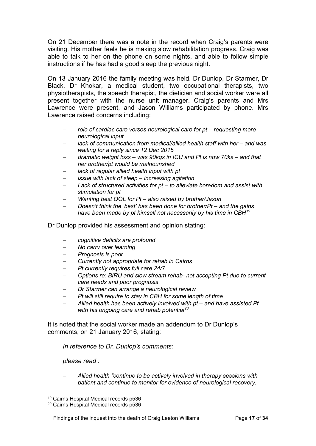On 21 December there was a note in the record when Craig's parents were visiting. His mother feels he is making slow rehabilitation progress. Craig was able to talk to her on the phone on some nights, and able to follow simple instructions if he has had a good sleep the previous night.

On 13 January 2016 the family meeting was held. Dr Dunlop, Dr Starmer, Dr Black, Dr Khokar, a medical student, two occupational therapists, two physiotherapists, the speech therapist, the dietician and social worker were all present together with the nurse unit manager. Craig's parents and Mrs Lawrence were present, and Jason Williams participated by phone. Mrs Lawrence raised concerns including:

- − *role of cardiac care verses neurological care for pt – requesting more neurological input*
- − *lack of communication from medical/allied health staff with her – and was waiting for a reply since 12 Dec 2015*
- − *dramatic weight loss – was 90kgs in ICU and Pt is now 70ks – and that her brother/pt would be malnourished*
- lack of regular allied health input with pt
- − *issue with lack of sleep – increasing agitation*
- − *Lack of structured activities for pt – to alleviate boredom and assist with stimulation for pt*
- − *Wanting best QOL for Pt – also raised by brother/Jason*
- − *Doesn't think the 'best' has been done for brother/Pt – and the gains have been made by pt himself not necessarily by his time in CBH[19](#page-16-0)*

Dr Dunlop provided his assessment and opinion stating:

- − *cognitive deficits are profound*
- − *No carry over learning*
- − *Prognosis is poor*
- − *Currently not appropriate for rehab in Cairns*
- − *Pt currently requires full care 24/7*
- − *Options re: BIRU and slow stream rehab- not accepting Pt due to current care needs and poor prognosis*
- − *Dr Starmer can arrange a neurological review*
- *Pt will still require to stay in CBH for some length of time*
- − *Allied health has been actively involved with pt – and have assisted Pt with his ongoing care and rehab potential[20](#page-16-1)*

It is noted that the social worker made an addendum to Dr Dunlop's comments, on 21 January 2016, stating:

*In reference to Dr. Dunlop's comments:*

*please read :*

− *Allied health "continue to be actively involved in therapy sessions with patient and continue to monitor for evidence of neurological recovery.* 

<sup>19</sup> Cairns Hospital Medical records p536

<span id="page-16-1"></span><span id="page-16-0"></span><sup>20</sup> Cairns Hospital Medical records p536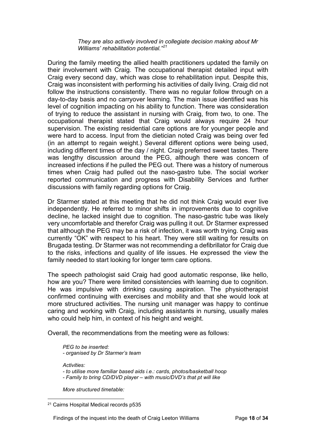*They are also actively involved in collegiate decision making about Mr Williams' rehabilitation potential."[21](#page-17-0)*

During the family meeting the allied health practitioners updated the family on their involvement with Craig. The occupational therapist detailed input with Craig every second day, which was close to rehabilitation input. Despite this, Craig was inconsistent with performing his activities of daily living. Craig did not follow the instructions consistently. There was no regular follow through on a day-to-day basis and no carryover learning. The main issue identified was his level of cognition impacting on his ability to function. There was consideration of trying to reduce the assistant in nursing with Craig, from two, to one. The occupational therapist stated that Craig would always require 24 hour supervision. The existing residential care options are for younger people and were hard to access. Input from the dietician noted Craig was being over fed (in an attempt to regain weight.) Several different options were being used, including different times of the day / night. Craig preferred sweet tastes. There was lengthy discussion around the PEG, although there was concern of increased infections if he pulled the PEG out. There was a history of numerous times when Craig had pulled out the naso-gastro tube. The social worker reported communication and progress with Disability Services and further discussions with family regarding options for Craig.

Dr Starmer stated at this meeting that he did not think Craig would ever live independently. He referred to minor shifts in improvements due to cognitive decline, he lacked insight due to cognition. The naso-gastric tube was likely very uncomfortable and therefor Craig was pulling it out. Dr Starmer expressed that although the PEG may be a risk of infection, it was worth trying. Craig was currently "OK" with respect to his heart. They were still waiting for results on Brugada testing. Dr Starmer was not recommending a defibrillator for Craig due to the risks, infections and quality of life issues. He expressed the view the family needed to start looking for longer term care options.

The speech pathologist said Craig had good automatic response, like hello, how are you? There were limited consistencies with learning due to cognition. He was impulsive with drinking causing aspiration. The physiotherapist confirmed continuing with exercises and mobility and that she would look at more structured activities. The nursing unit manager was happy to continue caring and working with Craig, including assistants in nursing, usually males who could help him, in context of his height and weight.

Overall, the recommendations from the meeting were as follows:

*PEG to be inserted: - organised by Dr Starmer's team*

*Activities:*

*- to utilise more familiar based aids i.e.: cards, photos/basketball hoop*

*- Family to bring CD/DVD player – with music/DVD's that pt will like*

*More structured timetable:*

Findings of the inquest into the death of Craig Leeton Williams Page **18** of **34**

<span id="page-17-0"></span><sup>21</sup> Cairns Hospital Medical records p535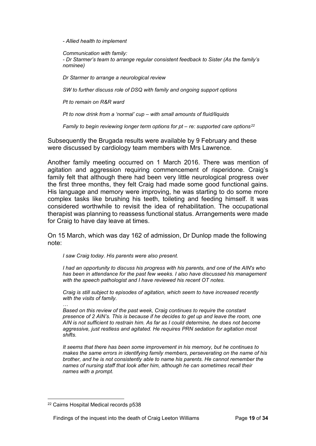*- Allied health to implement*

*Communication with family: - Dr Starmer's team to arrange regular consistent feedback to Sister (As the family's nominee)*

*Dr Starmer to arrange a neurological review*

*SW to further discuss role of DSQ with family and ongoing support options*

*Pt to remain on R&R ward*

*Pt to now drink from a 'normal' cup – with small amounts of fluid/liquids*

*Family to begin reviewing longer term options for pt – re: supported care options[22](#page-18-0)*

Subsequently the Brugada results were available by 9 February and these were discussed by cardiology team members with Mrs Lawrence.

Another family meeting occurred on 1 March 2016. There was mention of agitation and aggression requiring commencement of risperidone. Craig's family felt that although there had been very little neurological progress over the first three months, they felt Craig had made some good functional gains. His language and memory were improving, he was starting to do some more complex tasks like brushing his teeth, toileting and feeding himself. It was considered worthwhile to revisit the idea of rehabilitation. The occupational therapist was planning to reassess functional status. Arrangements were made for Craig to have day leave at times.

On 15 March, which was day 162 of admission, Dr Dunlop made the following note:

*I saw Craig today. His parents were also present.*

*I had an opportunity to discuss his progress with his parents, and one of the AIN's who has been in attendance for the past few weeks. I also have discussed his management with the speech pathologist and I have reviewed his recent OT notes.*

*Craig is still subject to episodes of agitation, which seem to have increased recently with the visits of family.*

*… Based on this review of the past week, Craig continues to require the constant presence of 2 AIN's. This is because if he decides to get up and leave the room, one AIN is not sufficient to restrain him. As far as I could determine, he does not become aggressive, just restless and agitated. He requires PRN sedation for agitation most shifts.*

*It seems that there has been some improvement in his memory, but he continues to makes the same errors in identifying family members, perseverating on the name of his brother, and he is not consistently able to name his parents. He cannot remember the names of nursing staff that look after him, although he can sometimes recall their names with a prompt.*

<span id="page-18-0"></span><sup>22</sup> Cairns Hospital Medical records p538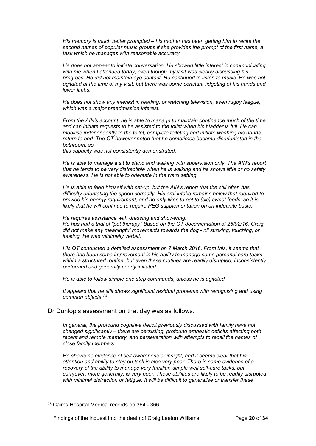*His memory is much better prompted – his mother has been getting him to recite the second names of popular music groups if she provides the prompt of the first name, a task which he manages with reasonable accuracy.*

*He does not appear to initiate conversation. He showed little interest in communicating with me when I attended today, even though my visit was clearly discussing his progress. He did not maintain eye contact. He continued to listen to music. He was not agitated at the time of my visit, but there was some constant fidgeting of his hands and lower limbs.*

*He does not show any interest in reading, or watching television, even rugby league, which was a major preadmission interest.*

*From the AIN's account, he is able to manage to maintain continence much of the time and can initiate requests to be assisted to the toilet when his bladder is full. He can mobilise independently to the toilet, complete toileting and initiate washing his hands, return to bed. The OT however noted that he sometimes became disorientated in the bathroom, so*

*this capacity was not consistently demonstrated.*

*He is able to manage a sit to stand and walking with supervision only. The AIN's report that he tends to be very distractible when he is walking and he shows little or no safety awareness. He is not able to orientate in the ward setting.*

*He is able to feed himself with set-up, but the AIN's report that the still often has difficulty orientating the spoon correctly. His oral intake remains below that required to provide his energy requirement, and he only likes to eat to (sic) sweet foods, so it is likely that he will continue to require PEG supplementation on an indefinite basis.*

*He requires assistance with dressing and showering. He has had a trial of "pet therapy" Based on the OT documentation of 26/02/16, Craig did not make any meaningful movements towards the dog - nil stroking, touching, or looking. He was minimally verbal.*

*His OT conducted a detailed assessment on 7 March 2016. From this, it seems that there has been some improvement in his ability to manage some personal care tasks within a structured routine, but even these routines are readily disrupted, inconsistently performed and generally poorly initiated.*

*He is able to follow simple one step commands, unless he is agitated.*

*It appears that he still shows significant residual problems with recognising and using common objects.[23](#page-19-1)*

#### <span id="page-19-0"></span>Dr Dunlop's assessment on that day was as follows:

*In general, the profound cognitive deficit previously discussed with family have not changed significantly – there are persisting, profound amnestic deficits affecting both recent and remote memory, and perseveration with attempts to recall the names of close family members.*

*He shows no evidence of self awareness or insight, and it seems clear that his attention and ability to stay on task is also very poor. There is some evidence of a recovery of the ability to manage very familiar, simple well self-care tasks, but carryover, more generally, is very poor. These abilities are likely to be readily disrupted with minimal distraction or fatigue. It will be difficult to generalise or transfer these* 

<span id="page-19-1"></span><sup>23</sup> Cairns Hospital Medical records pp 364 - 366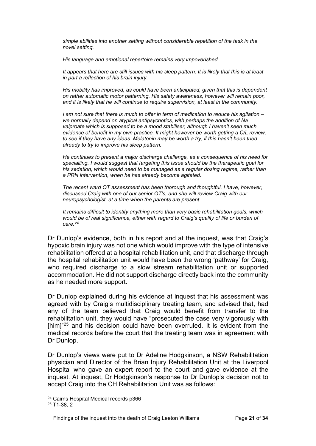*simple abilities into another setting without considerable repetition of the task in the novel setting.*

*His language and emotional repertoire remains very impoverished.*

*It appears that here are still issues with his sleep pattern. It is likely that this is at least in part a reflection of his brain injury.*

*His mobility has improved, as could have been anticipated, given that this is dependent on rather automatic motor patterning. His safety awareness, however will remain poor, and it is likely that he will continue to require supervision, at least in the community.*

*I am not sure that there is much to offer in term of medication to reduce his agitation – we normally depend on atypical antipsychotics, with perhaps the addition of Na valproate which is supposed to be a mood stabiliser, although I haven't seen much evidence of benefit in my own practice. It might however be worth getting a C/L review, to see if they have any ideas. Melatonin may be worth a try, if this hasn't been tried already to try to improve his sleep pattern.*

*He continues to present a major discharge challenge, as a consequence of his need for specialling. I would suggest that targeting this issue should be the therapeutic goal for his sedation, which would need to be managed as a regular dosing regime, rather than a PRN intervention, when he has already become agitated.*

*The recent ward OT assessment has been thorough and thoughtful. I have, however, discussed Craig with one of our senior OT's, and she will review Craig with our neuropsychologist, at a time when the parents are present.*

*It remains difficult to identify anything more than very basic rehabilitation goals, which would be of real significance, either with regard to Craig's quality of life or burden of care.[24](#page-20-0)*

Dr Dunlop's evidence, both in his report and at the inquest, was that Craig's hypoxic brain injury was not one which would improve with the type of intensive rehabilitation offered at a hospital rehabilitation unit, and that discharge through the hospital rehabilitation unit would have been the wrong 'pathway' for Craig, who required discharge to a slow stream rehabilitation unit or supported accommodation. He did not support discharge directly back into the community as he needed more support.

Dr Dunlop explained during his evidence at inquest that his assessment was agreed with by Craig's multidisciplinary treating team, and advised that, had any of the team believed that Craig would benefit from transfer to the rehabilitation unit, they would have "prosecuted the case very vigorously with [him]<sup>["25](#page-20-1)</sup> and his decision could have been overruled. It is evident from the medical records before the court that the treating team was in agreement with Dr Dunlop.

Dr Dunlop's views were put to Dr Adeline Hodgkinson, a NSW Rehabilitation physician and Director of the Brian Injury Rehabilitation Unit at the Liverpool Hospital who gave an expert report to the court and gave evidence at the inquest. At inquest, Dr Hodgkinson's response to Dr Dunlop's decision not to accept Craig into the CH Rehabilitation Unit was as follows:

<span id="page-20-0"></span><sup>24</sup> Cairns Hospital Medical records p366

<span id="page-20-1"></span><sup>25</sup> T1-38, 2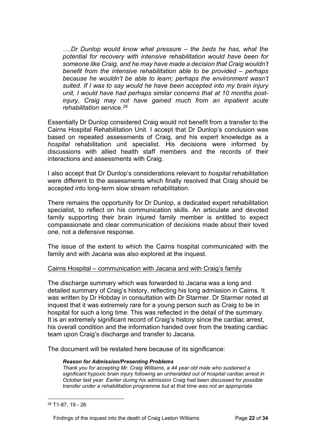*….Dr Dunlop would know what pressure – the beds he has, what the potential for recovery with intensive rehabilitation would have been for someone like Craig, and he may have made a decision that Craig wouldn't benefit from the intensive rehabilitation able to be provided – perhaps because he wouldn't be able to learn; perhaps the environment wasn't suited. If I was to say would he have been accepted into my brain injury unit, I would have had perhaps similar concerns that at 10 months postinjury, Craig may not have gained much from an inpatient acute rehabilitation service.[26](#page-21-1)*

Essentially Dr Dunlop considered Craig would not benefit from a transfer to the Cairns Hospital Rehabilitation Unit. I accept that Dr Dunlop's conclusion was based on repeated assessments of Craig, and his expert knowledge as a *hospital* rehabilitation unit specialist. His decisions were informed by discussions with allied health staff members and the records of their interactions and assessments with Craig.

I also accept that Dr Dunlop's considerations relevant to *hospital* rehabilitation were different to the assessments which finally resolved that Craig should be accepted into long-term slow stream rehabilitation.

There remains the opportunity for Dr Dunlop, a dedicated expert rehabilitation specialist, to reflect on his communication skills. An articulate and devoted family supporting their brain injured family member is entitled to expect compassionate and clear communication of decisions made about their loved one, not a defensive response.

The issue of the extent to which the Cairns hospital communicated with the family and with Jacana was also explored at the inquest.

# <span id="page-21-0"></span>Cairns Hospital – communication with Jacana and with Craig's family

The discharge summary which was forwarded to Jacana was a long and detailed summary of Craig's history, reflecting his long admission in Cairns. It was written by Dr Hobday in consultation with Dr Starmer. Dr Starmer noted at inquest that it was extremely rare for a young person such as Craig to be in hospital for such a long time. This was reflected in the detail of the summary. It is an extremely significant record of Craig's history since the cardiac arrest, his overall condition and the information handed over from the treating cardiac team upon Craig's discharge and transfer to Jacana.

The document will be restated here because of its significance:

## *Reason for Admission/Presenting Problems*

*Thank you for accepting Mr. Craig Williams, a 44 year old male who sustained a significant hypoxic brain injury following an unheralded out of hospital cardiac arrest in October last year. Earlier during his admission Craig had been discussed for possible transfer under a rehabilitation programme but at that time was not an appropriate* 

<span id="page-21-1"></span><sup>26</sup> T1-87, 19 - 26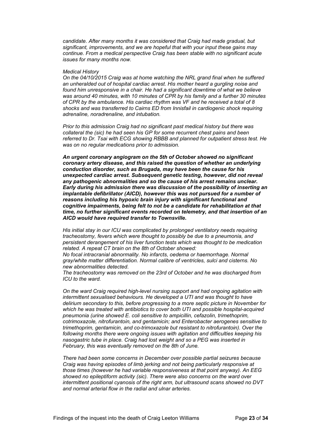*candidate. After many months it was considered that Craig had made gradual, but significant, improvements, and we are hopeful that with your input these gains may continue. From a medical perspective Craig has been stable with no significant acute issues for many months now.*

#### *Medical History*

*On the 04/10/2015 Craig was at home watching the NRL grand final when he suffered an unheralded out of hospital cardiac arrest. His mother heard a gurgling noise and found him unresponsive in a chair. He had a significant downtime of what we believe was around 40 minutes, with 10 minutes of CPR by his family and a further 30 minutes of CPR by the ambulance. His cardiac rhythm was VF and he received a total of 8 shocks and was transferred to Cairns ED from Innisfail in cardiogenic shock requiring adrenaline, noradrenaline, and intubation.* 

*Prior to this admission Craig had no significant past medical history but there was collateral the (sic) he had seen his GP for some recurrent chest pains and been referred to Dr. Tsai with ECG showing RBBB and planned for outpatient stress test. He was on no regular medications prior to admission.*

*An urgent coronary angiogram on the 5th of October showed no significant coronary artery disease, and this raised the question of whether an underlying conduction disorder, such as Brugada, may have been the cause for his unexpected cardiac arrest. Subsequent genetic testing, however, did not reveal any pathogenic abnormalities and so the cause of his arrest remains unclear. Early during his admission there was discussion of the possibility of inserting an implantable defibrillator (AICD), however this was not pursued for a number of reasons including his hypoxic brain injury with significant functional and cognitive impairments, being felt to not be a candidate for rehabilitation at that time, no further significant events recorded on telemetry, and that insertion of an AICD would have required transfer to Townsville.*

*His initial stay in our ICU was complicated by prolonged ventilatory needs requiring tracheostomy, fevers which were thought to possibly be due to a pneumonia, and persistent derangement of his liver function tests which was thought to be medication related. A repeat CT brain on the 8th of October showed:*

*No focal intracranial abnormality. No infarcts, oedema or haemorrhage. Normal gray/white matter differentiation. Normal calibre of ventricles, sulci and cisterns. No new abnormalities detected.*

*The tracheostomy was removed on the 23rd of October and he was discharged from ICU to the ward.*

*On the ward Craig required high-level nursing support and had ongoing agitation with intermittent sexualised behaviours. He developed a UTI and was thought to have delirium secondary to this, before progressing to a more septic picture in November for which he was treated with antibiotics to cover both UTI and possible hospital-acquired pneumonia (urine showed E. coli sensitive to ampicillin, cefazolin, trimethoprim, cotrimoxazole, nitrofurantoin, and gentamicin; and Enterobacter aerogenes sensitive to trimethoprim, gentamicin, and co-trimoxazole but resistant to nitrofurantoin). Over the following months there were ongoing issues with agitation and difficulties keeping his nasogastric tube in place. Craig had lost weight and so a PEG was inserted in February, this was eventually removed on the 8th of June.*

*There had been some concerns in December over possible partial seizures because Craig was having episodes of limb jerking and not being particularly responsive at those times (however he had variable responsiveness at that point anyway). An EEG showed no epileptiform activity (sic). There were also concerns on the ward over intermittent positional cyanosis of the right arm, but ultrasound scans showed no DVT and normal arterial flow in the radial and ulnar arteries.*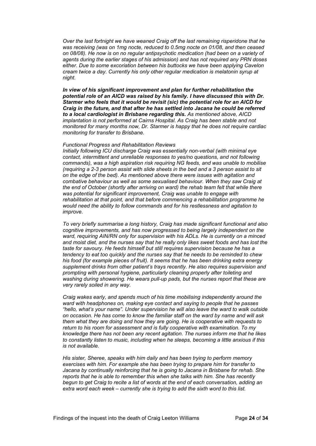*Over the last fortnight we have weaned Craig off the last remaining risperidone that he was receiving (was on 1mg nocte, reduced to 0.5mg nocte on 01/08, and then ceased on 08/08). He now is on no regular antipsychotic medication (had been on a variety of agents during the earlier stages of his admission) and has not required any PRN doses either. Due to some excoriation between his buttocks we have been applying Cavelon cream twice a day. Currently his only other regular medication is melatonin syrup at night.*

*In view of his significant improvement and plan for further rehabilitation the potential role of an AICD was raised by his family. I have discussed this with Dr. Starmer who feels that it would be revisit (sic) the potential role for an AICD for Craig in the future, and that after he has settled into Jacana he could be referred to a local cardiologist in Brisbane regarding this. As mentioned above, AICD implantation is not performed at Cairns Hospital. As Craig has been stable and not monitored for many months now, Dr. Starmer is happy that he does not require cardiac monitoring for transfer to Brisbane.*

#### *Functional Progress and Rehabilitation Reviews*

*Initially following ICU discharge Craig was essentially non-verbal (with minimal eye contact, intermittent and unreliable responses to yes/no questions, and not following commands), was a high aspiration risk requiring NG feeds, and was unable to mobilise (requiring a 2-3 person assist with slide sheets in the bed and a 3 person assist to sit on the edge of the bed). As mentioned above there were issues with agitation and combative behaviour as well as some sexualised behaviour. When they saw Craig at the end of October (shortly after arriving on ward) the rehab team felt that while there was potential for significant improvement, Craig was unable to engage with rehabilitation at that point, and that before commencing a rehabilitation programme he would need the ability to follow commands and for his restlessness and agitation to improve.*

*To very briefly summarise a long history, Craig has made significant functional and also cognitive improvements, and has now progressed to being largely independent on the ward, requiring AIN/RN only for supervision with his ADLs. He is currently on a minced and moist diet, and the nurses say that he really only likes sweet foods and has lost the taste for savoury. He feeds himself but still requires supervision because he has a tendency to eat too quickly and the nurses say that he needs to be reminded to chew his food (for example pieces of fruit). It seems that he has been drinking extra energy supplement drinks from other patient's trays recently. He also requires supervision and prompting with personal hygiene, particularly cleaning properly after toileting and washing during showering. He wears pull-up pads, but the nurses report that these are very rarely soiled in any way.*

*Craig wakes early, and spends much of his time mobilising independently around the ward with headphones on, making eye contact and saying to people that he passes "hello, what's your name". Under supervision he will also leave the ward to walk outside on occasion. He has come to know the familiar staff on the ward by name and will ask them what they are doing and how they are going. He is cooperative with requests to return to his room for assessment and is fully cooperative with examination. To my knowledge there has not been any recent agitation. The nurses inform me that he likes to constantly listen to music, including when he sleeps, becoming a little anxious if this is not available.*

*His sister, Sheree, speaks with him daily and has been trying to perform memory exercises with him. For example she has been trying to prepare him for transfer to Jacana by continually reinforcing that he is going to Jacana in Brisbane for rehab. She reports that he is able to remember this when she talks with him. She has recently begun to get Craig to recite a list of words at the end of each conversation, adding an extra word each week – currently she is trying to add the sixth word to this list.*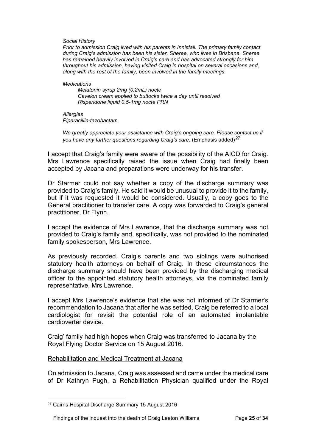*Social History*

*Prior to admission Craig lived with his parents in Innisfail. The primary family contact during Craig's admission has been his sister, Sheree, who lives in Brisbane. Sheree has remained heavily involved in Craig's care and has advocated strongly for him throughout his admission, having visited Craig in hospital on several occasions and, along with the rest of the family, been involved in the family meetings.*

#### *Medications*

*Melatonin syrup 2mg (0.2mL) nocte Cavelon cream applied to buttocks twice a day until resolved Risperidone liquid 0.5-1mg nocte PRN*

*Allergies Piperacillin-tazobactam*

*We greatly appreciate your assistance with Craig's ongoing care. Please contact us if you have any further questions regarding Craig's care.* (Emphasis added)*[27](#page-24-1)*

I accept that Craig's family were aware of the possibility of the AICD for Craig. Mrs Lawrence specifically raised the issue when Craig had finally been accepted by Jacana and preparations were underway for his transfer.

Dr Starmer could not say whether a copy of the discharge summary was provided to Craig's family. He said it would be unusual to provide it to the family, but if it was requested it would be considered. Usually, a copy goes to the General practitioner to transfer care. A copy was forwarded to Craig's general practitioner, Dr Flynn.

I accept the evidence of Mrs Lawrence, that the discharge summary was not provided to Craig's family and, specifically, was not provided to the nominated family spokesperson, Mrs Lawrence.

As previously recorded, Craig's parents and two siblings were authorised statutory health attorneys on behalf of Craig. In these circumstances the discharge summary should have been provided by the discharging medical officer to the appointed statutory health attorneys, via the nominated family representative, Mrs Lawrence.

I accept Mrs Lawrence's evidence that she was not informed of Dr Starmer's recommendation to Jacana that after he was settled, Craig be referred to a local cardiologist for revisit the potential role of an automated implantable cardioverter device.

Craig' family had high hopes when Craig was transferred to Jacana by the Royal Flying Doctor Service on 15 August 2016.

# <span id="page-24-0"></span>Rehabilitation and Medical Treatment at Jacana

On admission to Jacana, Craig was assessed and came under the medical care of Dr Kathryn Pugh, a Rehabilitation Physician qualified under the Royal

<span id="page-24-1"></span><sup>27</sup> Cairns Hospital Discharge Summary 15 August 2016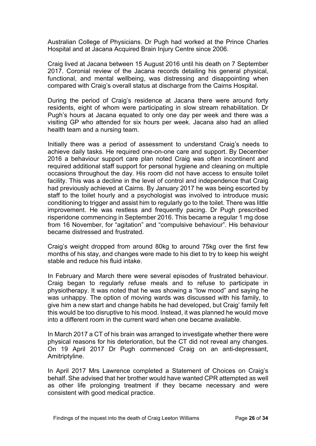Australian College of Physicians. Dr Pugh had worked at the Prince Charles Hospital and at Jacana Acquired Brain Injury Centre since 2006.

Craig lived at Jacana between 15 August 2016 until his death on 7 September 2017. Coronial review of the Jacana records detailing his general physical, functional, and mental wellbeing, was distressing and disappointing when compared with Craig's overall status at discharge from the Cairns Hospital.

During the period of Craig's residence at Jacana there were around forty residents, eight of whom were participating in slow stream rehabilitation. Dr Pugh's hours at Jacana equated to only one day per week and there was a visiting GP who attended for six hours per week. Jacana also had an allied health team and a nursing team.

Initially there was a period of assessment to understand Craig's needs to achieve daily tasks. He required one-on-one care and support. By December 2016 a behaviour support care plan noted Craig was often incontinent and required additional staff support for personal hygiene and cleaning on multiple occasions throughout the day. His room did not have access to ensuite toilet facility. This was a decline in the level of control and independence that Craig had previously achieved at Cairns. By January 2017 he was being escorted by staff to the toilet hourly and a psychologist was involved to introduce music conditioning to trigger and assist him to regularly go to the toilet. There was little improvement. He was restless and frequently pacing. Dr Pugh prescribed risperidone commencing in September 2016. This became a regular 1 mg dose from 16 November, for "agitation" and "compulsive behaviour". His behaviour became distressed and frustrated.

Craig's weight dropped from around 80kg to around 75kg over the first few months of his stay, and changes were made to his diet to try to keep his weight stable and reduce his fluid intake.

In February and March there were several episodes of frustrated behaviour. Craig began to regularly refuse meals and to refuse to participate in physiotherapy. It was noted that he was showing a "low mood" and saying he was unhappy. The option of moving wards was discussed with his family, to give him a new start and change habits he had developed, but Craig' family felt this would be too disruptive to his mood. Instead, it was planned he would move into a different room in the current ward when one became available.

In March 2017 a CT of his brain was arranged to investigate whether there were physical reasons for his deterioration, but the CT did not reveal any changes. On 19 April 2017 Dr Pugh commenced Craig on an anti-depressant, Amitriptyline.

In April 2017 Mrs Lawrence completed a Statement of Choices on Craig's behalf. She advised that her brother would have wanted CPR attempted as well as other life prolonging treatment if they became necessary and were consistent with good medical practice.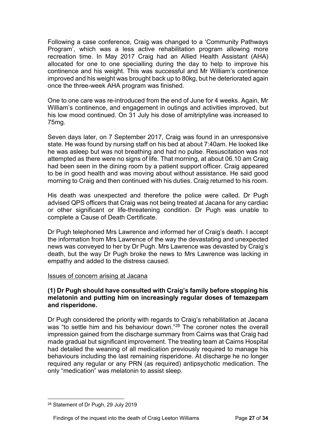Following a case conference, Craig was changed to a 'Community Pathways Program', which was a less active rehabilitation program allowing more recreation time. In May 2017 Craig had an Allied Health Assistant (AHA) allocated for one to one specialling during the day to help to improve his continence and his weight. This was successful and Mr William's continence improved and his weight was brought back up to 80kg, but he deteriorated again once the three-week AHA program was finished.

One to one care was re-introduced from the end of June for 4 weeks. Again, Mr William's continence, and engagement in outings and activities improved, but his low mood continued. On 31 July his dose of amitriptyline was increased to 75mg.

Seven days later, on 7 September 2017, Craig was found in an unresponsive state. He was found by nursing staff on his bed at about 7:40am. He looked like he was asleep but was not breathing and had no pulse. Resuscitation was not attempted as there were no signs of life. That morning, at about 06.10 am Craig had been seen in the dining room by a patient support officer. Craig appeared to be in good health and was moving about without assistance. He said good morning to Craig and then continued with his duties. Craig returned to his room.

His death was unexpected and therefore the police were called. Dr Pugh advised QPS officers that Craig was not being treated at Jacana for any cardiac or other significant or life-threatening condition. Dr Pugh was unable to complete a Cause of Death Certificate.

Dr Pugh telephoned Mrs Lawrence and informed her of Craig's death. I accept the information from Mrs Lawrence of the way the devastating and unexpected news was conveyed to her by Dr Pugh. Mrs Lawrence was devasted by Craig's death, but the way Dr Pugh broke the news to Mrs Lawrence was lacking in empathy and added to the distress caused.

# <span id="page-26-0"></span>Issues of concern arising at Jacana

# **(1) Dr Pugh should have consulted with Craig's family before stopping his melatonin and putting him on increasingly regular doses of temazepam and risperidone.**

Dr Pugh considered the priority with regards to Craig's rehabilitation at Jacana was "to settle him and his behaviour down."<sup>28</sup> The coroner notes the overall impression gained from the discharge summary from Cairns was that Craig had made gradual but significant improvement. The treating team at Cairns Hospital had detailed the weaning of all medication previously required to manage his behaviours including the last remaining risperidone. At discharge he no longer required any regular or any PRN (as required) antipsychotic medication. The only "medication" was melatonin to assist sleep.

<span id="page-26-1"></span><sup>28</sup> Statement of Dr Pugh, 29 July 2019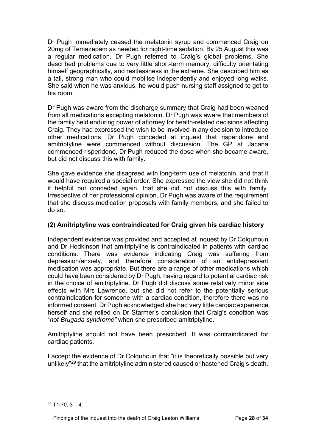Dr Pugh immediately ceased the melatonin syrup and commenced Craig on 20mg of Temazepam as needed for night-time sedation. By 25 August this was a regular medication. Dr Pugh referred to Craig's global problems. She described problems due to very little short-term memory, difficulty orientating himself geographically, and restlessness in the extreme. She described him as a tall, strong man who could mobilise independently and enjoyed long walks. She said when he was anxious, he would push nursing staff assigned to get to his room.

Dr Pugh was aware from the discharge summary that Craig had been weaned from all medications excepting melatonin. Dr Pugh was aware that members of the family held enduring power of attorney for health-related decisions affecting Craig. They had expressed the wish to be involved in any decision to introduce other medications. Dr Pugh conceded at inquest that risperidone and amitriptyline were commenced without discussion. The GP at Jacana commenced risperidone, Dr Pugh reduced the dose when she became aware, but did not discuss this with family.

She gave evidence she disagreed with long-term use of melatonin, and that it would have required a special order. She expressed the view she did not think it helpful but conceded again, that she did not discuss this with family. Irrespective of her professional opinion, Dr Pugh was aware of the requirement that she discuss medication proposals with family members, and she failed to do so.

# **(2) Amitriptyline was contraindicated for Craig given his cardiac history**

Independent evidence was provided and accepted at inquest by Dr Colquhoun and Dr Hodkinson that amitriptyline is contraindicated in patients with cardiac conditions. There was evidence indicating Craig was suffering from depression/anxiety, and therefore consideration of an antidepressant medication was appropriate. But there are a range of other medications which could have been considered by Dr Pugh, having regard to potential cardiac risk in the choice of amitriptyline. Dr Pugh did discuss some relatively minor side effects with Mrs Lawrence, but she did not refer to the potentially serious contraindication for someone with a cardiac condition, therefore there was no informed consent. Dr Pugh acknowledged she had very little cardiac experience herself and she relied on Dr Starmer's conclusion that Craig's condition was "*not Brugada syndrome"* when she prescribed amitriptyline.

Amitriptyline should not have been prescribed. It was contraindicated for cardiac patients.

I accept the evidence of Dr Colquhoun that "it is theoretically possible but very unlikely"[29](#page-27-0) that the amitriptyline administered caused or hastened Craig's death.

<span id="page-27-0"></span> $29$  T<sub>1</sub>-70,  $3 - 4$ .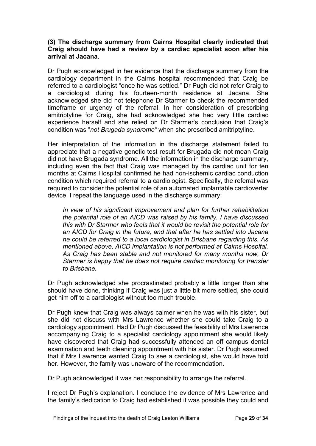# **(3) The discharge summary from Cairns Hospital clearly indicated that Craig should have had a review by a cardiac specialist soon after his arrival at Jacana.**

Dr Pugh acknowledged in her evidence that the discharge summary from the cardiology department in the Cairns hospital recommended that Craig be referred to a cardiologist "once he was settled." Dr Pugh did not refer Craig to a cardiologist during his fourteen-month residence at Jacana. She acknowledged she did not telephone Dr Starmer to check the recommended timeframe or urgency of the referral. In her consideration of prescribing amitriptyline for Craig, she had acknowledged she had very little cardiac experience herself and she relied on Dr Starmer's conclusion that Craig's condition was "*not Brugada syndrome"* when she prescribed amitriptyline.

Her interpretation of the information in the discharge statement failed to appreciate that a negative genetic test result for Brugada did not mean Craig did not have Brugada syndrome. All the information in the discharge summary, including even the fact that Craig was managed by the cardiac unit for ten months at Cairns Hospital confirmed he had non-ischemic cardiac conduction condition which required referral to a cardiologist. Specifically, the referral was required to consider the potential role of an automated implantable cardioverter device. I repeat the language used in the discharge summary:

*In view of his significant improvement and plan for further rehabilitation the potential role of an AICD was raised by his family. I have discussed this with Dr Starmer who feels that it would be revisit the potential role for an AICD for Craig in the future, and that after he has settled into Jacana he could be referred to a local cardiologist in Brisbane regarding this. As mentioned above, AICD implantation is not performed at Cairns Hospital. As Craig has been stable and not monitored for many months now, Dr Starmer is happy that he does not require cardiac monitoring for transfer to Brisbane.*

Dr Pugh acknowledged she procrastinated probably a little longer than she should have done, thinking if Craig was just a little bit more settled, she could get him off to a cardiologist without too much trouble.

Dr Pugh knew that Craig was always calmer when he was with his sister, but she did not discuss with Mrs Lawrence whether she could take Craig to a cardiology appointment. Had Dr Pugh discussed the feasibility of Mrs Lawrence accompanying Craig to a specialist cardiology appointment she would likely have discovered that Craig had successfully attended an off campus dental examination and teeth cleaning appointment with his sister. Dr Pugh assumed that if Mrs Lawrence wanted Craig to see a cardiologist, she would have told her. However, the family was unaware of the recommendation.

Dr Pugh acknowledged it was her responsibility to arrange the referral.

I reject Dr Pugh's explanation. I conclude the evidence of Mrs Lawrence and the family's dedication to Craig had established it was possible they could and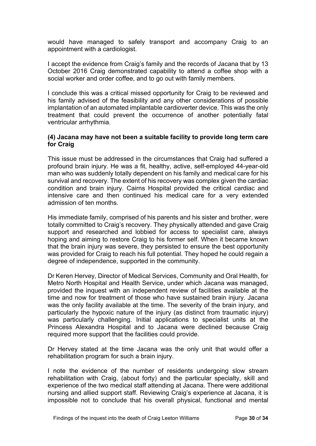would have managed to safely transport and accompany Craig to an appointment with a cardiologist.

I accept the evidence from Craig's family and the records of Jacana that by 13 October 2016 Craig demonstrated capability to attend a coffee shop with a social worker and order coffee, and to go out with family members.

I conclude this was a critical missed opportunity for Craig to be reviewed and his family advised of the feasibility and any other considerations of possible implantation of an automated implantable cardioverter device. This was the only treatment that could prevent the occurrence of another potentially fatal ventricular arrhythmia.

# **(4) Jacana may have not been a suitable facility to provide long term care for Craig**

This issue must be addressed in the circumstances that Craig had suffered a profound brain injury. He was a fit, healthy, active, self-employed 44-year-old man who was suddenly totally dependent on his family and medical care for his survival and recovery. The extent of his recovery was complex given the cardiac condition and brain injury. Cairns Hospital provided the critical cardiac and intensive care and then continued his medical care for a very extended admission of ten months.

His immediate family, comprised of his parents and his sister and brother, were totally committed to Craig's recovery. They physically attended and gave Craig support and researched and lobbied for access to specialist care, always hoping and aiming to restore Craig to his former self. When it became known that the brain injury was severe, they persisted to ensure the best opportunity was provided for Craig to reach his full potential. They hoped he could regain a degree of independence, supported in the community.

Dr Keren Hervey, Director of Medical Services, Community and Oral Health, for Metro North Hospital and Health Service, under which Jacana was managed, provided the inquest with an independent review of facilities available at the time and now for treatment of those who have sustained brain injury. Jacana was the only facility available at the time. The severity of the brain injury, and particularly the hypoxic nature of the injury (as distinct from traumatic injury) was particularly challenging. Initial applications to specialist units at the Princess Alexandra Hospital and to Jacana were declined because Craig required more support that the facilities could provide.

Dr Hervey stated at the time Jacana was the only unit that would offer a rehabilitation program for such a brain injury.

I note the evidence of the number of residents undergoing slow stream rehabilitation with Craig, (about forty) and the particular specialty, skill and experience of the two medical staff attending at Jacana. There were additional nursing and allied support staff. Reviewing Craig's experience at Jacana, it is impossible not to conclude that his overall physical, functional and mental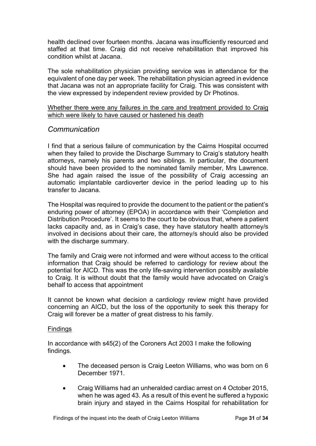health declined over fourteen months. Jacana was insufficiently resourced and staffed at that time. Craig did not receive rehabilitation that improved his condition whilst at Jacana.

The sole rehabilitation physician providing service was in attendance for the equivalent of one day per week. The rehabilitation physician agreed in evidence that Jacana was not an appropriate facility for Craig. This was consistent with the view expressed by independent review provided by Dr Photinos.

# <span id="page-30-0"></span>Whether there were any failures in the care and treatment provided to Craig which were likely to have caused or hastened his death

# <span id="page-30-1"></span>*Communication*

I find that a serious failure of communication by the Cairns Hospital occurred when they failed to provide the Discharge Summary to Craig's statutory health attorneys, namely his parents and two siblings. In particular, the document should have been provided to the nominated family member, Mrs Lawrence. She had again raised the issue of the possibility of Craig accessing an automatic implantable cardioverter device in the period leading up to his transfer to Jacana.

The Hospital was required to provide the document to the patient or the patient's enduring power of attorney (EPOA) in accordance with their 'Completion and Distribution Procedure'. It seems to the court to be obvious that, where a patient lacks capacity and, as in Craig's case, they have statutory health attorney/s involved in decisions about their care, the attorney/s should also be provided with the discharge summary.

The family and Craig were not informed and were without access to the critical information that Craig should be referred to cardiology for review about the potential for AICD. This was the only life-saving intervention possibly available to Craig. It is without doubt that the family would have advocated on Craig's behalf to access that appointment

It cannot be known what decision a cardiology review might have provided concerning an AICD, but the loss of the opportunity to seek this therapy for Craig will forever be a matter of great distress to his family.

## <span id="page-30-2"></span>**Findings**

In accordance with s45(2) of the Coroners Act 2003 I make the following findings.

- The deceased person is Craig Leeton Williams, who was born on 6 December 1971.
- Craig Williams had an unheralded cardiac arrest on 4 October 2015, when he was aged 43. As a result of this event he suffered a hypoxic brain injury and stayed in the Cairns Hospital for rehabilitation for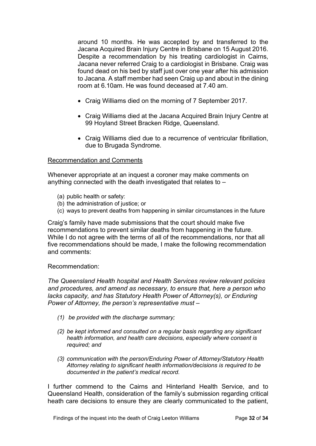around 10 months. He was accepted by and transferred to the Jacana Acquired Brain Injury Centre in Brisbane on 15 August 2016. Despite a recommendation by his treating cardiologist in Cairns, Jacana never referred Craig to a cardiologist in Brisbane. Craig was found dead on his bed by staff just over one year after his admission to Jacana. A staff member had seen Craig up and about in the dining room at 6.10am. He was found deceased at 7.40 am.

- Craig Williams died on the morning of 7 September 2017.
- Craig Williams died at the Jacana Acquired Brain Injury Centre at 99 Hoyland Street Bracken Ridge, Queensland.
- Craig Williams died due to a recurrence of ventricular fibrillation, due to Brugada Syndrome.

# <span id="page-31-0"></span>Recommendation and Comments

Whenever appropriate at an inquest a coroner may make comments on anything connected with the death investigated that relates to –

- (a) public health or safety:
- (b) the administration of justice; or
- (c) ways to prevent deaths from happening in similar circumstances in the future

Craig's family have made submissions that the court should make five recommendations to prevent similar deaths from happening in the future. While I do not agree with the terms of all of the recommendations, nor that all five recommendations should be made, I make the following recommendation and comments:

## Recommendation:

*The Queensland Health hospital and Health Services review relevant policies and procedures, and amend as necessary, to ensure that, here a person who lacks capacity, and has Statutory Health Power of Attorney(s), or Enduring Power of Attorney, the person's representative must –*

- *(1) be provided with the discharge summary;*
- *(2) be kept informed and consulted on a regular basis regarding any significant health information, and health care decisions, especially where consent is required; and*
- *(3) communication with the person/Enduring Power of Attorney/Statutory Health Attorney relating to significant health information/decisions is required to be documented in the patient's medical record.*

I further commend to the Cairns and Hinterland Health Service, and to Queensland Health, consideration of the family's submission regarding critical heath care decisions to ensure they are clearly communicated to the patient,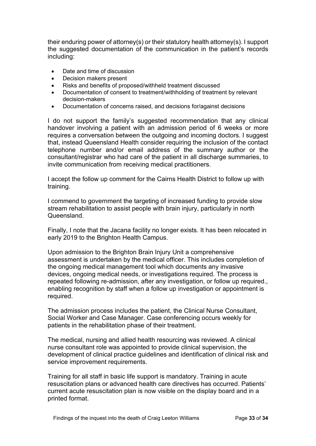their enduring power of attorney(s) or their statutory health attorney(s). I support the suggested documentation of the communication in the patient's records including:

- Date and time of discussion
- Decision makers present
- Risks and benefits of proposed/withheld treatment discussed
- Documentation of consent to treatment/withholding of treatment by relevant decision-makers
- Documentation of concerns raised, and decisions for/against decisions

I do not support the family's suggested recommendation that any clinical handover involving a patient with an admission period of 6 weeks or more requires a conversation between the outgoing and incoming doctors. I suggest that, instead Queensland Health consider requiring the inclusion of the contact telephone number and/or email address of the summary author or the consultant/registrar who had care of the patient in all discharge summaries, to invite communication from receiving medical practitioners.

I accept the follow up comment for the Cairns Health District to follow up with training.

I commend to government the targeting of increased funding to provide slow stream rehabilitation to assist people with brain injury, particularly in north Queensland.

Finally, I note that the Jacana facility no longer exists. It has been relocated in early 2019 to the Brighton Health Campus.

Upon admission to the Brighton Brain Injury Unit a comprehensive assessment is undertaken by the medical officer. This includes completion of the ongoing medical management tool which documents any invasive devices, ongoing medical needs, or investigations required. The process is repeated following re-admission, after any investigation, or follow up required., enabling recognition by staff when a follow up investigation or appointment is required.

The admission process includes the patient, the Clinical Nurse Consultant, Social Worker and Case Manager. Case conferencing occurs weekly for patients in the rehabilitation phase of their treatment.

The medical, nursing and allied health resourcing was reviewed. A clinical nurse consultant role was appointed to provide clinical supervision, the development of clinical practice guidelines and identification of clinical risk and service improvement requirements.

Training for all staff in basic life support is mandatory. Training in acute resuscitation plans or advanced health care directives has occurred. Patients' current acute resuscitation plan is now visible on the display board and in a printed format.